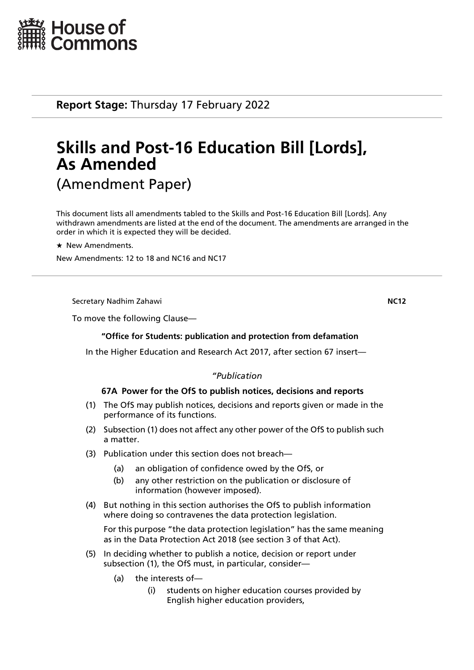

**Report Stage:** Thursday 17 February 2022

# **Skills and Post-16 Education Bill [Lords], As Amended** (Amendment Paper)

This document lists all amendments tabled to the Skills and Post-16 Education Bill [Lords]. Any withdrawn amendments are listed at the end of the document. The amendments are arranged in the order in which it is expected they will be decided.

 $\star$  New Amendments.

New Amendments: 12 to 18 and NC16 and NC17

Secretary Nadhim Zahawi **NC12**

To move the following Clause—

## **"Office for Students: publication and protection from defamation**

In the Higher Education and Research Act 2017, after section 67 insert—

## *"Publication*

## **67A Power for the OfS to publish notices, decisions and reports**

- (1) The OfS may publish notices, decisions and reports given or made in the performance of its functions.
- (2) Subsection (1) does not affect any other power of the OfS to publish such a matter.
- (3) Publication under this section does not breach—
	- (a) an obligation of confidence owed by the OfS, or
	- (b) any other restriction on the publication or disclosure of information (however imposed).
- (4) But nothing in this section authorises the OfS to publish information where doing so contravenes the data protection legislation.

For this purpose "the data protection legislation" has the same meaning as in the Data Protection Act 2018 (see section 3 of that Act).

- (5) In deciding whether to publish a notice, decision or report under subsection (1), the OfS must, in particular, consider—
	- (a) the interests of—
		- (i) students on higher education courses provided by English higher education providers,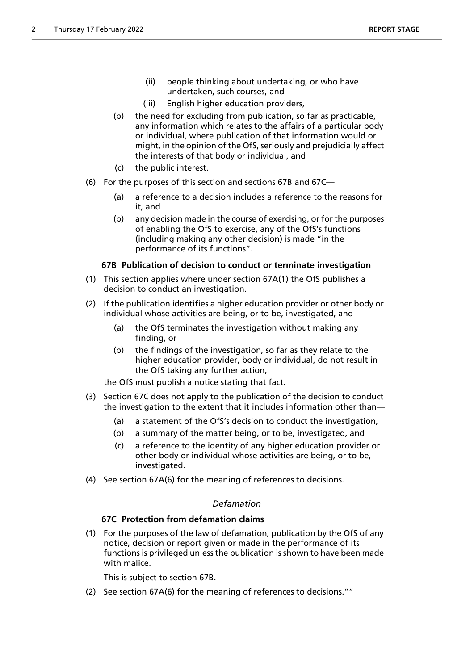- (ii) people thinking about undertaking, or who have undertaken, such courses, and
- (iii) English higher education providers,
- (b) the need for excluding from publication, so far as practicable, any information which relates to the affairs of a particular body or individual, where publication of that information would or might, in the opinion of the OfS, seriously and prejudicially affect the interests of that body or individual, and
- (c) the public interest.
- (6) For the purposes of this section and sections 67B and 67C—
	- (a) a reference to a decision includes a reference to the reasons for it, and
	- (b) any decision made in the course of exercising, or for the purposes of enabling the OfS to exercise, any of the OfS's functions (including making any other decision) is made "in the performance of its functions".

## **67B Publication of decision to conduct or terminate investigation**

- (1) This section applies where under section 67A(1) the OfS publishes a decision to conduct an investigation.
- (2) If the publication identifies a higher education provider or other body or individual whose activities are being, or to be, investigated, and—
	- (a) the OfS terminates the investigation without making any finding, or
	- (b) the findings of the investigation, so far as they relate to the higher education provider, body or individual, do not result in the OfS taking any further action,

the OfS must publish a notice stating that fact.

- (3) Section 67C does not apply to the publication of the decision to conduct the investigation to the extent that it includes information other than—
	- (a) a statement of the OfS's decision to conduct the investigation,
	- (b) a summary of the matter being, or to be, investigated, and
	- (c) a reference to the identity of any higher education provider or other body or individual whose activities are being, or to be, investigated.
- (4) See section 67A(6) for the meaning of references to decisions.

## *Defamation*

## **67C Protection from defamation claims**

(1) For the purposes of the law of defamation, publication by the OfS of any notice, decision or report given or made in the performance of its functions is privileged unless the publication is shown to have been made with malice.

This is subject to section 67B.

(2) See section 67A(6) for the meaning of references to decisions.""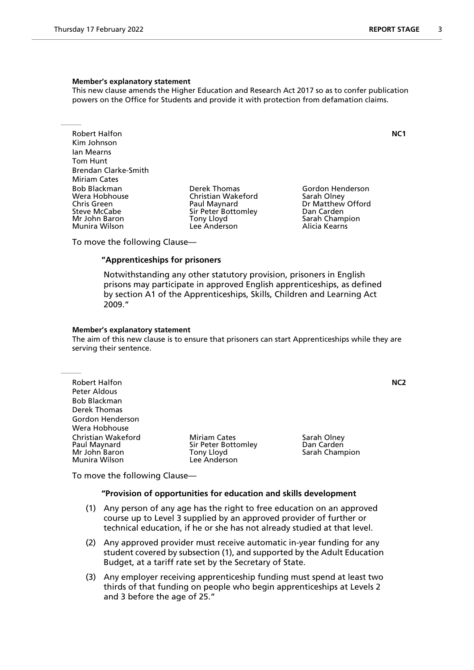This new clause amends the Higher Education and Research Act 2017 so as to confer publication powers on the Office for Students and provide it with protection from defamation claims.

Robert Halfon **NC1** Kim Johnson Ian Mearns Tom Hunt Brendan Clarke-Smith Miriam Cates<br>Bob Blackman Bob Blackman Derek Thomas Gordon Henderson Wera Hobhouse Christian Wakeford<br>
Chris Green Christian Olau Paul Maynard Steve McCabe Sir Peter Bottomley San Carden<br>1991 - Sarah Chammer Sarah Chammer Sarah Chammer Sarah Chammer Sarah Chammer Sarah Chammer Sarah Chammer Sarah Munira Wilson

Mony Lloyd **Sarah Champion**<br>
Lee Anderson Lee Anderson

Dr Matthew Offord

To move the following Clause—

## **"Apprenticeships for prisoners**

 Notwithstanding any other statutory provision, prisoners in English prisons may participate in approved English apprenticeships, as defined by section A1 of the Apprenticeships, Skills, Children and Learning Act 2009."

#### **Member's explanatory statement**

The aim of this new clause is to ensure that prisoners can start Apprenticeships while they are serving their sentence.

Robert Halfon **NC2** Peter Aldous Bob Blackman Derek Thomas Gordon Henderson Wera Hobhouse Christian Wakeford **Miriam Cates** Sarah Olney<br>
Paul Maynard **Miriam Cates Sir Peter Bottomley** Dan Carden Paul Maynard Sir Peter Bottomley Dan Carden Munira Wilson

Tony Lloyd **Sarah Champion**<br>Lee Anderson

To move the following Clause—

#### **"Provision of opportunities for education and skills development**

- (1) Any person of any age has the right to free education on an approved course up to Level 3 supplied by an approved provider of further or technical education, if he or she has not already studied at that level.
- (2) Any approved provider must receive automatic in-year funding for any student covered by subsection (1), and supported by the Adult Education Budget, at a tariff rate set by the Secretary of State.
- (3) Any employer receiving apprenticeship funding must spend at least two thirds of that funding on people who begin apprenticeships at Levels 2 and 3 before the age of 25."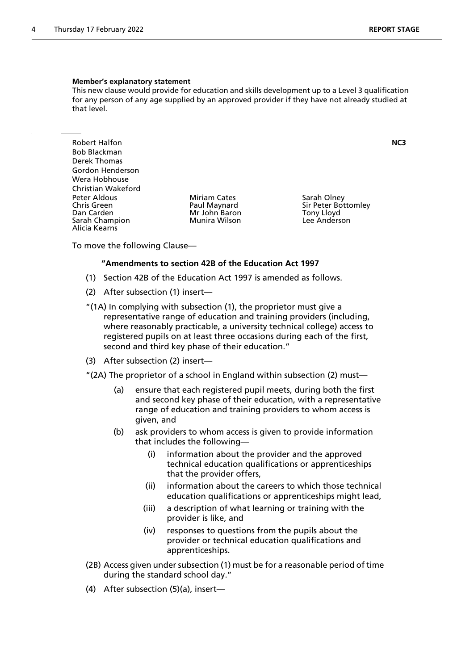This new clause would provide for education and skills development up to a Level 3 qualification for any person of any age supplied by an approved provider if they have not already studied at that level.

Robert Halfon **NC3** Bob Blackman Derek Thomas Gordon Henderson Wera Hobhouse Christian Wakeford Peter Aldous **Miriam Cates** Sarah Olney<br>
Chris Green **Sarah Olney Chris Chris Chris Creen** Sir Peter Bot Chris Green The Paul Maynard Sir Peter Bottomley<br>
Dan Carden The Sir Peter Bottomley<br>
Mr John Baron The Sir Peter Bottomley Sarah Champion Alicia Kearns

Mr John Baron Tony Lloyd<br>Munira Wilson The Lee Anderson

To move the following Clause—

#### **"Amendments to section 42B of the Education Act 1997**

- (1) Section 42B of the Education Act 1997 is amended as follows.
- (2) After subsection (1) insert—
- "(1A) In complying with subsection (1), the proprietor must give a representative range of education and training providers (including, where reasonably practicable, a university technical college) access to registered pupils on at least three occasions during each of the first, second and third key phase of their education."
- (3) After subsection (2) insert—
- "(2A) The proprietor of a school in England within subsection (2) must—
	- (a) ensure that each registered pupil meets, during both the first and second key phase of their education, with a representative range of education and training providers to whom access is given, and
	- (b) ask providers to whom access is given to provide information that includes the following—
		- (i) information about the provider and the approved technical education qualifications or apprenticeships that the provider offers,
		- (ii) information about the careers to which those technical education qualifications or apprenticeships might lead,
		- (iii) a description of what learning or training with the provider is like, and
		- (iv) responses to questions from the pupils about the provider or technical education qualifications and apprenticeships.
- (2B) Access given under subsection (1) must be for a reasonable period of time during the standard school day."
- (4) After subsection (5)(a), insert—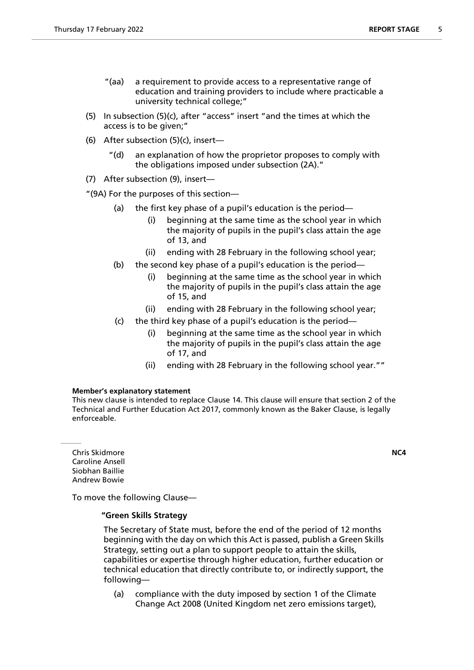- "(aa) a requirement to provide access to a representative range of education and training providers to include where practicable a university technical college;"
- (5) In subsection (5)(c), after "access" insert "and the times at which the access is to be given;"
- (6) After subsection (5)(c), insert—
	- "(d) an explanation of how the proprietor proposes to comply with the obligations imposed under subsection (2A)."
- (7) After subsection (9), insert—
- "(9A) For the purposes of this section—
	- (a) the first key phase of a pupil's education is the period—
		- (i) beginning at the same time as the school year in which the majority of pupils in the pupil's class attain the age of 13, and
		- (ii) ending with 28 February in the following school year;
	- (b) the second key phase of a pupil's education is the period—
		- (i) beginning at the same time as the school year in which the majority of pupils in the pupil's class attain the age of 15, and
		- (ii) ending with 28 February in the following school year;
	- (c) the third key phase of a pupil's education is the period—
		- (i) beginning at the same time as the school year in which the majority of pupils in the pupil's class attain the age of 17, and
		- (ii) ending with 28 February in the following school year.""

This new clause is intended to replace Clause 14. This clause will ensure that section 2 of the Technical and Further Education Act 2017, commonly known as the Baker Clause, is legally enforceable.

Chris Skidmore **NC4** Caroline Ansell Siobhan Baillie Andrew Bowie

To move the following Clause—

## **"Green Skills Strategy**

 The Secretary of State must, before the end of the period of 12 months beginning with the day on which this Act is passed, publish a Green Skills Strategy, setting out a plan to support people to attain the skills, capabilities or expertise through higher education, further education or technical education that directly contribute to, or indirectly support, the following—

(a) compliance with the duty imposed by section 1 of the Climate Change Act 2008 (United Kingdom net zero emissions target),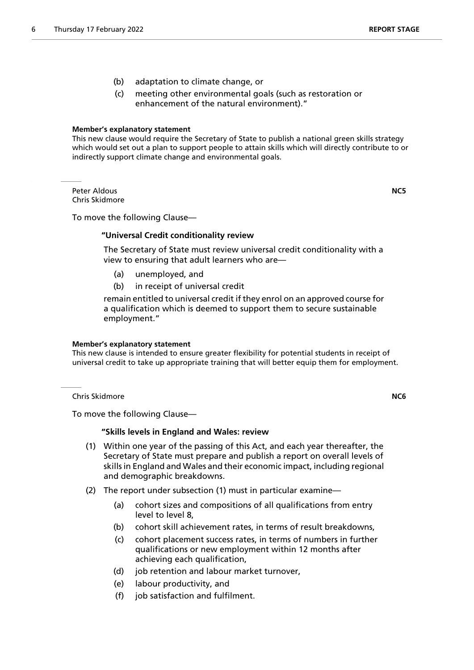- (b) adaptation to climate change, or
- (c) meeting other environmental goals (such as restoration or enhancement of the natural environment)."

This new clause would require the Secretary of State to publish a national green skills strategy which would set out a plan to support people to attain skills which will directly contribute to or indirectly support climate change and environmental goals.

Peter Aldous **NC5** Chris Skidmore

To move the following Clause—

## **"Universal Credit conditionality review**

 The Secretary of State must review universal credit conditionality with a view to ensuring that adult learners who are—

- (a) unemployed, and
- (b) in receipt of universal credit

remain entitled to universal credit if they enrol on an approved course for a qualification which is deemed to support them to secure sustainable employment."

#### **Member's explanatory statement**

This new clause is intended to ensure greater flexibility for potential students in receipt of universal credit to take up appropriate training that will better equip them for employment.

Chris Skidmore **NC6**

To move the following Clause—

## **"Skills levels in England and Wales: review**

- (1) Within one year of the passing of this Act, and each year thereafter, the Secretary of State must prepare and publish a report on overall levels of skills in England and Wales and their economic impact, including regional and demographic breakdowns.
- (2) The report under subsection (1) must in particular examine—
	- (a) cohort sizes and compositions of all qualifications from entry level to level 8,
	- (b) cohort skill achievement rates, in terms of result breakdowns,
	- (c) cohort placement success rates, in terms of numbers in further qualifications or new employment within 12 months after achieving each qualification,
	- (d) job retention and labour market turnover,
	- (e) labour productivity, and
	- (f) job satisfaction and fulfilment.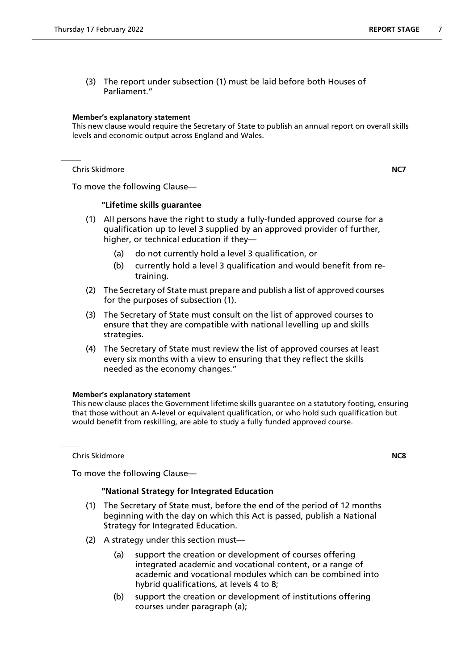(3) The report under subsection (1) must be laid before both Houses of Parliament."

#### **Member's explanatory statement**

This new clause would require the Secretary of State to publish an annual report on overall skills levels and economic output across England and Wales.

Chris Skidmore **NC7**

To move the following Clause—

## **"Lifetime skills guarantee**

- (1) All persons have the right to study a fully-funded approved course for a qualification up to level 3 supplied by an approved provider of further, higher, or technical education if they—
	- (a) do not currently hold a level 3 qualification, or
	- (b) currently hold a level 3 qualification and would benefit from retraining.
- (2) The Secretary of State must prepare and publish a list of approved courses for the purposes of subsection (1).
- (3) The Secretary of State must consult on the list of approved courses to ensure that they are compatible with national levelling up and skills strategies.
- (4) The Secretary of State must review the list of approved courses at least every six months with a view to ensuring that they reflect the skills needed as the economy changes."

## **Member's explanatory statement**

This new clause places the Government lifetime skills guarantee on a statutory footing, ensuring that those without an A-level or equivalent qualification, or who hold such qualification but would benefit from reskilling, are able to study a fully funded approved course.

Chris Skidmore **NC8**

## To move the following Clause—

## **"National Strategy for Integrated Education**

- (1) The Secretary of State must, before the end of the period of 12 months beginning with the day on which this Act is passed, publish a National Strategy for Integrated Education.
- (2) A strategy under this section must—
	- (a) support the creation or development of courses offering integrated academic and vocational content, or a range of academic and vocational modules which can be combined into hybrid qualifications, at levels 4 to 8;
	- (b) support the creation or development of institutions offering courses under paragraph (a);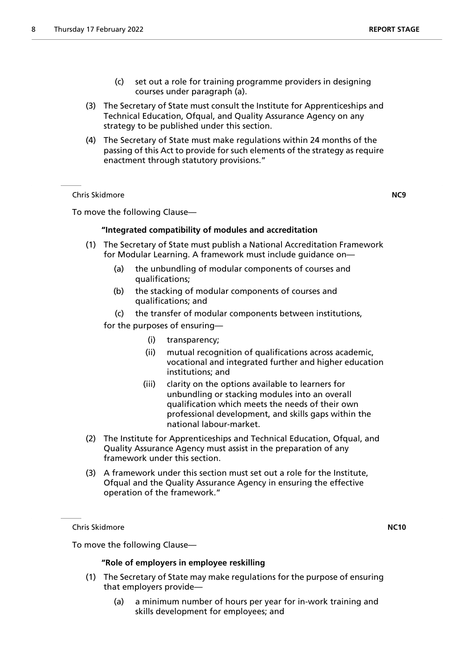- (c) set out a role for training programme providers in designing courses under paragraph (a).
- (3) The Secretary of State must consult the Institute for Apprenticeships and Technical Education, Ofqual, and Quality Assurance Agency on any strategy to be published under this section.
- (4) The Secretary of State must make regulations within 24 months of the passing of this Act to provide for such elements of the strategy as require enactment through statutory provisions."

Chris Skidmore **NC9**

To move the following Clause—

## **"Integrated compatibility of modules and accreditation**

- (1) The Secretary of State must publish a National Accreditation Framework for Modular Learning. A framework must include guidance on—
	- (a) the unbundling of modular components of courses and qualifications;
	- (b) the stacking of modular components of courses and qualifications; and
	- (c) the transfer of modular components between institutions,

for the purposes of ensuring—

- (i) transparency;
- (ii) mutual recognition of qualifications across academic, vocational and integrated further and higher education institutions; and
- (iii) clarity on the options available to learners for unbundling or stacking modules into an overall qualification which meets the needs of their own professional development, and skills gaps within the national labour-market.
- (2) The Institute for Apprenticeships and Technical Education, Ofqual, and Quality Assurance Agency must assist in the preparation of any framework under this section.
- (3) A framework under this section must set out a role for the Institute, Ofqual and the Quality Assurance Agency in ensuring the effective operation of the framework."

Chris Skidmore **NC10**

To move the following Clause—

#### **"Role of employers in employee reskilling**

- (1) The Secretary of State may make regulations for the purpose of ensuring that employers provide—
	- (a) a minimum number of hours per year for in-work training and skills development for employees; and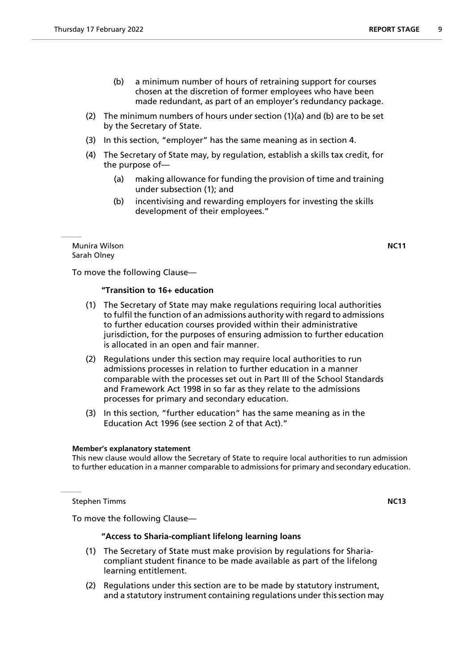- (b) a minimum number of hours of retraining support for courses chosen at the discretion of former employees who have been made redundant, as part of an employer's redundancy package.
- (2) The minimum numbers of hours under section (1)(a) and (b) are to be set by the Secretary of State.
- (3) In this section, "employer" has the same meaning as in section 4.
- (4) The Secretary of State may, by regulation, establish a skills tax credit, for the purpose of—
	- (a) making allowance for funding the provision of time and training under subsection (1); and
	- (b) incentivising and rewarding employers for investing the skills development of their employees."

Munira Wilson **NC11** Sarah Olney

To move the following Clause—

## **"Transition to 16+ education**

- (1) The Secretary of State may make regulations requiring local authorities to fulfil the function of an admissions authority with regard to admissions to further education courses provided within their administrative jurisdiction, for the purposes of ensuring admission to further education is allocated in an open and fair manner.
- (2) Regulations under this section may require local authorities to run admissions processes in relation to further education in a manner comparable with the processes set out in Part III of the School Standards and Framework Act 1998 in so far as they relate to the admissions processes for primary and secondary education.
- (3) In this section, "further education" has the same meaning as in the Education Act 1996 (see section 2 of that Act)."

#### **Member's explanatory statement**

This new clause would allow the Secretary of State to require local authorities to run admission to further education in a manner comparable to admissions for primary and secondary education.

**Stephen Timms NC13** 

To move the following Clause—

### **"Access to Sharia-compliant lifelong learning loans**

- (1) The Secretary of State must make provision by regulations for Shariacompliant student finance to be made available as part of the lifelong learning entitlement.
- (2) Regulations under this section are to be made by statutory instrument, and a statutory instrument containing regulations under this section may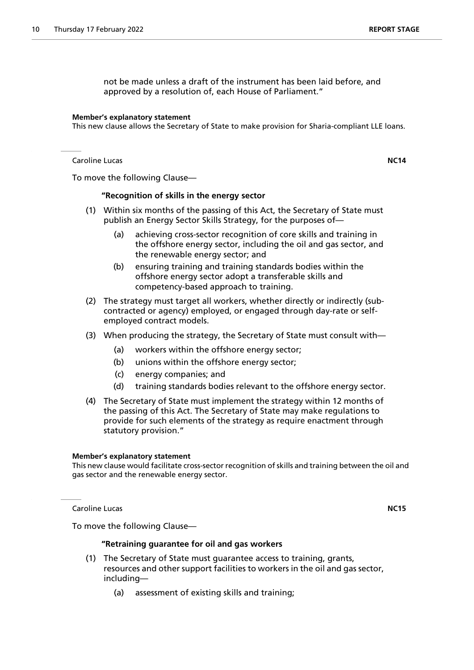not be made unless a draft of the instrument has been laid before, and approved by a resolution of, each House of Parliament."

#### **Member's explanatory statement**

This new clause allows the Secretary of State to make provision for Sharia-compliant LLE loans.

Caroline Lucas **NC14**

To move the following Clause—

#### **"Recognition of skills in the energy sector**

- (1) Within six months of the passing of this Act, the Secretary of State must publish an Energy Sector Skills Strategy, for the purposes of—
	- (a) achieving cross-sector recognition of core skills and training in the offshore energy sector, including the oil and gas sector, and the renewable energy sector; and
	- (b) ensuring training and training standards bodies within the offshore energy sector adopt a transferable skills and competency-based approach to training.
- (2) The strategy must target all workers, whether directly or indirectly (subcontracted or agency) employed, or engaged through day-rate or selfemployed contract models.
- (3) When producing the strategy, the Secretary of State must consult with—
	- (a) workers within the offshore energy sector;
	- (b) unions within the offshore energy sector;
	- (c) energy companies; and
	- (d) training standards bodies relevant to the offshore energy sector.
- (4) The Secretary of State must implement the strategy within 12 months of the passing of this Act. The Secretary of State may make regulations to provide for such elements of the strategy as require enactment through statutory provision."

## **Member's explanatory statement**

This new clause would facilitate cross-sector recognition of skills and training between the oil and gas sector and the renewable energy sector.

Caroline Lucas **NC15**

To move the following Clause—

#### **"Retraining guarantee for oil and gas workers**

- (1) The Secretary of State must guarantee access to training, grants, resources and other support facilities to workers in the oil and gas sector, including—
	- (a) assessment of existing skills and training;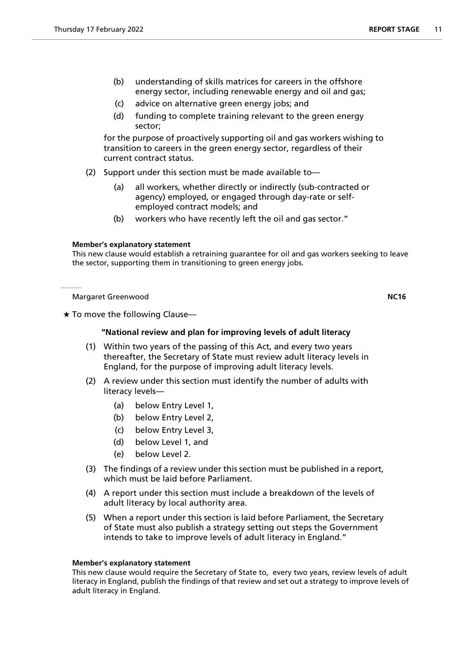- (b) understanding of skills matrices for careers in the offshore energy sector, including renewable energy and oil and gas;
- (c) advice on alternative green energy jobs; and
- (d) funding to complete training relevant to the green energy sector;

for the purpose of proactively supporting oil and gas workers wishing to transition to careers in the green energy sector, regardless of their current contract status.

- (2) Support under this section must be made available to—
	- (a) all workers, whether directly or indirectly (sub-contracted or agency) employed, or engaged through day-rate or selfemployed contract models; and
	- (b) workers who have recently left the oil and gas sector."

## **Member's explanatory statement**

This new clause would establish a retraining guarantee for oil and gas workers seeking to leave the sector, supporting them in transitioning to green energy jobs.

Margaret Greenwood **NC16**

 $\star$  To move the following Clause—

## **"National review and plan for improving levels of adult literacy**

- (1) Within two years of the passing of this Act, and every two years thereafter, the Secretary of State must review adult literacy levels in England, for the purpose of improving adult literacy levels.
- (2) A review under this section must identify the number of adults with literacy levels—
	- (a) below Entry Level 1,
	- (b) below Entry Level 2,
	- (c) below Entry Level 3,
	- (d) below Level 1, and
	- (e) below Level 2.
- (3) The findings of a review under this section must be published in a report, which must be laid before Parliament.
- (4) A report under this section must include a breakdown of the levels of adult literacy by local authority area.
- (5) When a report under this section is laid before Parliament, the Secretary of State must also publish a strategy setting out steps the Government intends to take to improve levels of adult literacy in England."

#### **Member's explanatory statement**

This new clause would require the Secretary of State to, every two years, review levels of adult literacy in England, publish the findings of that review and set out a strategy to improve levels of adult literacy in England.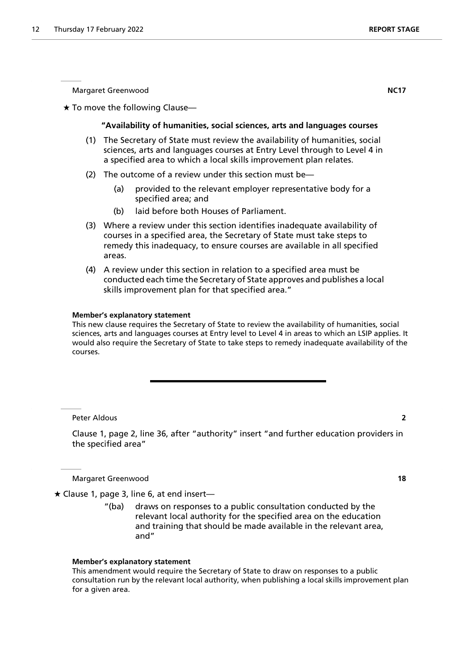Margaret Greenwood **NC17**

 $\star$  To move the following Clause—

### **"Availability of humanities, social sciences, arts and languages courses**

- (1) The Secretary of State must review the availability of humanities, social sciences, arts and languages courses at Entry Level through to Level 4 in a specified area to which a local skills improvement plan relates.
- (2) The outcome of a review under this section must be—
	- (a) provided to the relevant employer representative body for a specified area; and
	- (b) laid before both Houses of Parliament.
- (3) Where a review under this section identifies inadequate availability of courses in a specified area, the Secretary of State must take steps to remedy this inadequacy, to ensure courses are available in all specified areas.
- (4) A review under this section in relation to a specified area must be conducted each time the Secretary of State approves and publishes a local skills improvement plan for that specified area."

#### **Member's explanatory statement**

This new clause requires the Secretary of State to review the availability of humanities, social sciences, arts and languages courses at Entry level to Level 4 in areas to which an LSIP applies. It would also require the Secretary of State to take steps to remedy inadequate availability of the courses.

Peter Aldous **2**

Clause 1, page 2, line 36, after "authority" insert "and further education providers in the specified area"

Margaret Greenwood **18**

 $\star$  Clause 1, page 3, line 6, at end insert—

"(ba) draws on responses to a public consultation conducted by the relevant local authority for the specified area on the education and training that should be made available in the relevant area, and"

#### **Member's explanatory statement**

This amendment would require the Secretary of State to draw on responses to a public consultation run by the relevant local authority, when publishing a local skills improvement plan for a given area.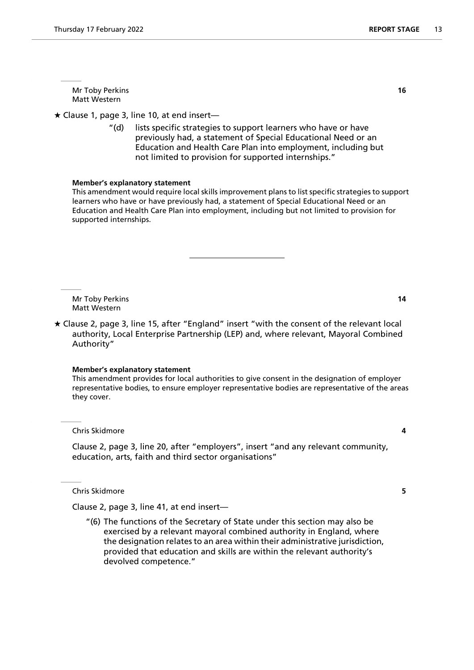Mr Toby Perkins **16** Matt Western

 $\star$  Clause 1, page 3, line 10, at end insert—

"(d) lists specific strategies to support learners who have or have previously had, a statement of Special Educational Need or an Education and Health Care Plan into employment, including but not limited to provision for supported internships."

#### **Member's explanatory statement**

This amendment would require local skills improvement plans to list specific strategies to support learners who have or have previously had, a statement of Special Educational Need or an Education and Health Care Plan into employment, including but not limited to provision for supported internships.

Mr Toby Perkins **14** Matt Western

 Clause 2, page 3, line 15, after "England" insert "with the consent of the relevant local authority, Local Enterprise Partnership (LEP) and, where relevant, Mayoral Combined Authority"

#### **Member's explanatory statement**

This amendment provides for local authorities to give consent in the designation of employer representative bodies, to ensure employer representative bodies are representative of the areas they cover.

Chris Skidmore **4**

Clause 2, page 3, line 20, after "employers", insert "and any relevant community, education, arts, faith and third sector organisations"

Chris Skidmore **5**

Clause 2, page 3, line 41, at end insert—

"(6) The functions of the Secretary of State under this section may also be exercised by a relevant mayoral combined authority in England, where the designation relates to an area within their administrative jurisdiction, provided that education and skills are within the relevant authority's devolved competence."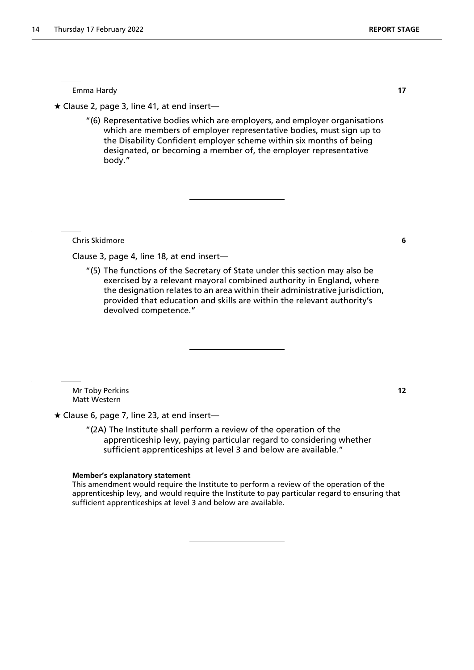Emma Hardy **17**

 $\star$  Clause 2, page 3, line 41, at end insert—

"(6) Representative bodies which are employers, and employer organisations which are members of employer representative bodies, must sign up to the Disability Confident employer scheme within six months of being designated, or becoming a member of, the employer representative body."

Chris Skidmore **6**

Clause 3, page 4, line 18, at end insert—

"(5) The functions of the Secretary of State under this section may also be exercised by a relevant mayoral combined authority in England, where the designation relates to an area within their administrative jurisdiction, provided that education and skills are within the relevant authority's devolved competence."

Mr Toby Perkins **12** Matt Western

 $\star$  Clause 6, page 7, line 23, at end insert-

"(2A) The Institute shall perform a review of the operation of the apprenticeship levy, paying particular regard to considering whether sufficient apprenticeships at level 3 and below are available."

#### **Member's explanatory statement**

This amendment would require the Institute to perform a review of the operation of the apprenticeship levy, and would require the Institute to pay particular regard to ensuring that sufficient apprenticeships at level 3 and below are available.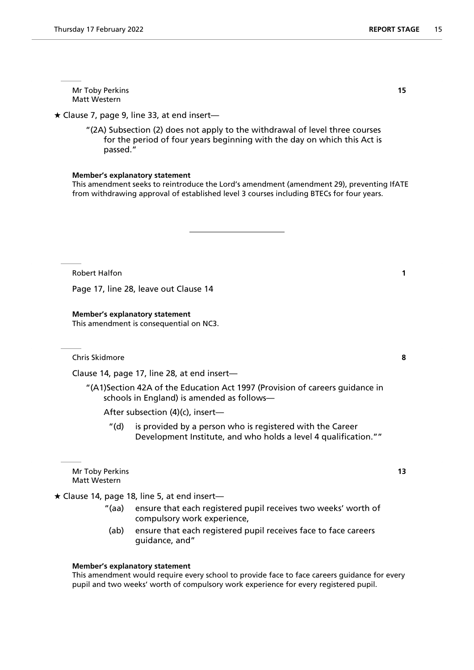Mr Toby Perkins **15** Matt Western

 $\star$  Clause 7, page 9, line 33, at end insert—

"(2A) Subsection (2) does not apply to the withdrawal of level three courses for the period of four years beginning with the day on which this Act is passed."

#### **Member's explanatory statement**

This amendment seeks to reintroduce the Lord's amendment (amendment 29), preventing IfATE from withdrawing approval of established level 3 courses including BTECs for four years.

Robert Halfon **1** 

Page 17, line 28, leave out Clause 14

#### **Member's explanatory statement**

This amendment is consequential on NC3.

Chris Skidmore **8**

Clause 14, page 17, line 28, at end insert—

"(A1)Section 42A of the Education Act 1997 (Provision of careers guidance in schools in England) is amended as follows—

After subsection (4)(c), insert—

"(d) is provided by a person who is registered with the Career Development Institute, and who holds a level 4 qualification.""

Mr Toby Perkins **13** Matt Western

 $\star$  Clause 14, page 18, line 5, at end insert-

- "(aa) ensure that each registered pupil receives two weeks' worth of compulsory work experience,
- (ab) ensure that each registered pupil receives face to face careers guidance, and"

#### **Member's explanatory statement**

This amendment would require every school to provide face to face careers guidance for every pupil and two weeks' worth of compulsory work experience for every registered pupil.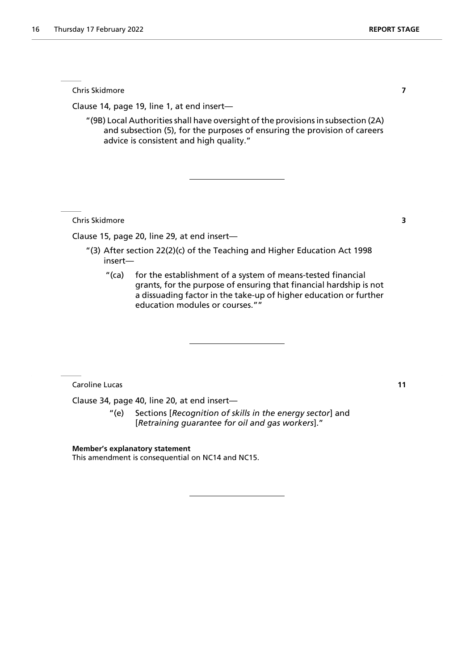Chris Skidmore **7**

Clause 14, page 19, line 1, at end insert—

"(9B) Local Authorities shall have oversight of the provisions in subsection (2A) and subsection (5), for the purposes of ensuring the provision of careers advice is consistent and high quality."

Chris Skidmore **3**

Clause 15, page 20, line 29, at end insert—

- "(3) After section 22(2)(c) of the Teaching and Higher Education Act 1998 insert—
	- "(ca) for the establishment of a system of means-tested financial grants, for the purpose of ensuring that financial hardship is not a dissuading factor in the take-up of higher education or further education modules or courses.""

Caroline Lucas **11**

Clause 34, page 40, line 20, at end insert—

"(e) Sections [*Recognition of skills in the energy sector*] and [*Retraining guarantee for oil and gas workers*]."

**Member's explanatory statement**

This amendment is consequential on NC14 and NC15.